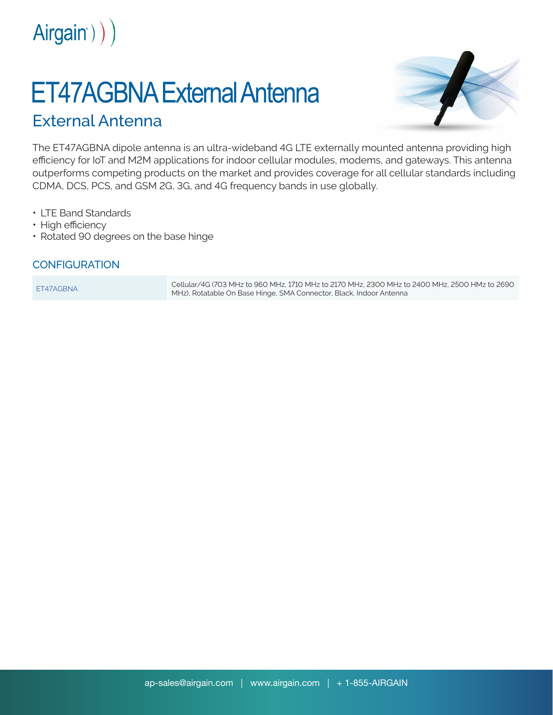

## ET47AGBNA External Antenna

## External Antenna



The ET47AGBNA dipole antenna is an ultra-wideband 4G LTE externally mounted antenna providing high efficiency for IoT and M2M applications for indoor cellular modules, modems, and gateways. This antenna outperforms competing products on the market and provides coverage for all cellular standards including CDMA, DCS, PCS, and GSM 2G, 3G, and 4G frequency bands in use globally.

- LTE Band Standards
- High efficiency
- Rotated 90 degrees on the base hinge

## **CONFIGURATION**

ET47AGBNA Cellular/4G (703 MHz to 960 MHz, 1710 MHz to 2170 MHz, 2300 MHz to 2400 MHz, 2500 HMz to 2690 MHz), Rotatable On Base Hinge, SMA Connector, Black, Indoor Antenna